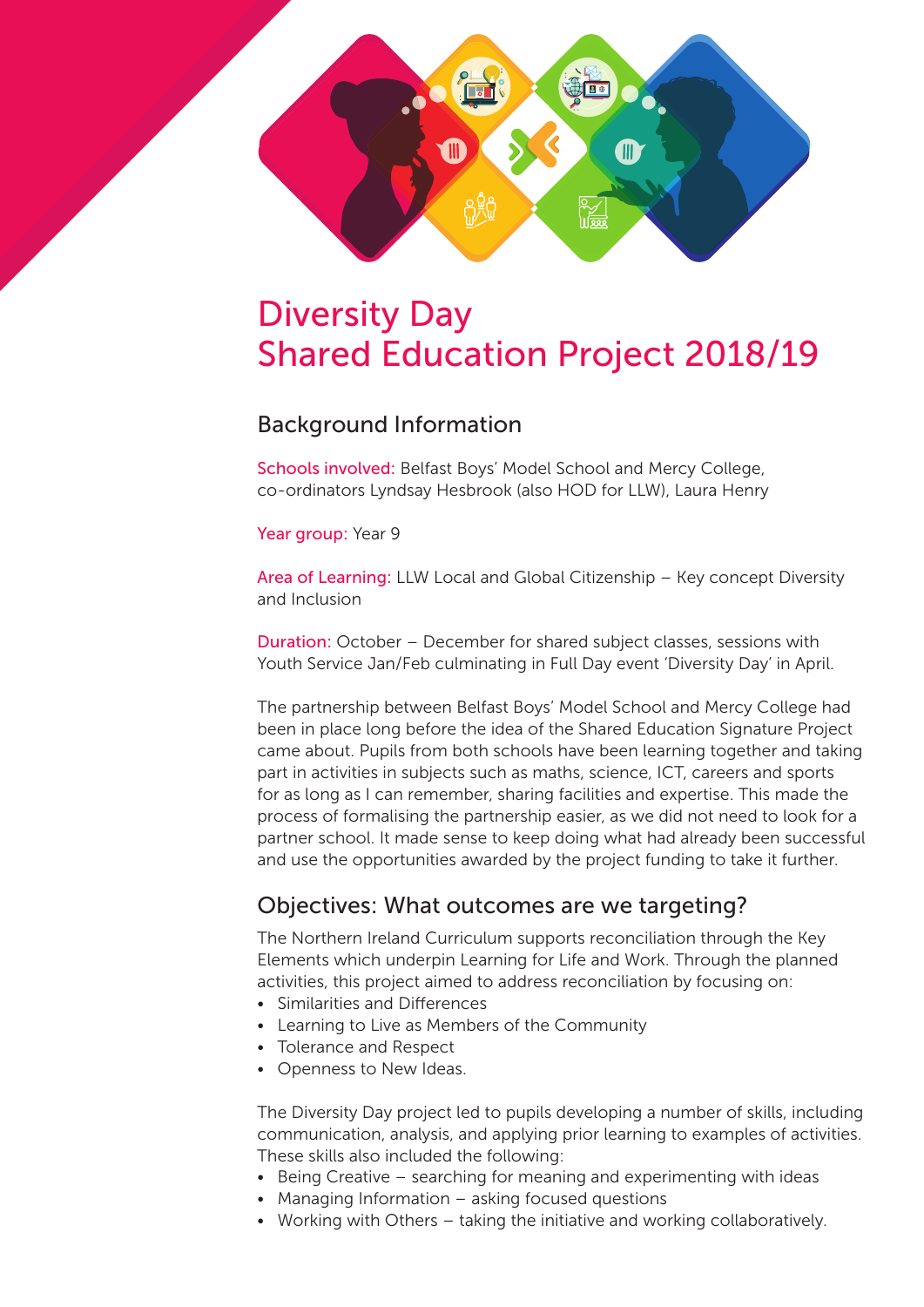

# Diversity Day Shared Education Project 2018/19

### Background Information

Schools involved: Belfast Boys' Model School and Mercy College, co-ordinators Lyndsay Hesbrook (also HOD for LLW), Laura Henry

Year group: Year 9

Area of Learning: LLW Local and Global Citizenship – Key concept Diversity and Inclusion

Duration: October – December for shared subject classes, sessions with Youth Service Jan/Feb culminating in Full Day event 'Diversity Day' in April.

The partnership between Belfast Boys' Model School and Mercy College had been in place long before the idea of the Shared Education Signature Project came about. Pupils from both schools have been learning together and taking part in activities in subjects such as maths, science, ICT, careers and sports for as long as I can remember, sharing facilities and expertise. This made the process of formalising the partnership easier, as we did not need to look for a partner school. It made sense to keep doing what had already been successful and use the opportunities awarded by the project funding to take it further.

## Objectives: What outcomes are we targeting?

The Northern Ireland Curriculum supports reconciliation through the Key Elements which underpin Learning for Life and Work. Through the planned activities, this project aimed to address reconciliation by focusing on:

- Similarities and Differences
- Learning to Live as Members of the Community
- Tolerance and Respect
- Openness to New Ideas.

The Diversity Day project led to pupils developing a number of skills, including communication, analysis, and applying prior learning to examples of activities. These skills also included the following:

- Being Creative searching for meaning and experimenting with ideas
- Managing Information asking focused questions
- Working with Others taking the initiative and working collaboratively.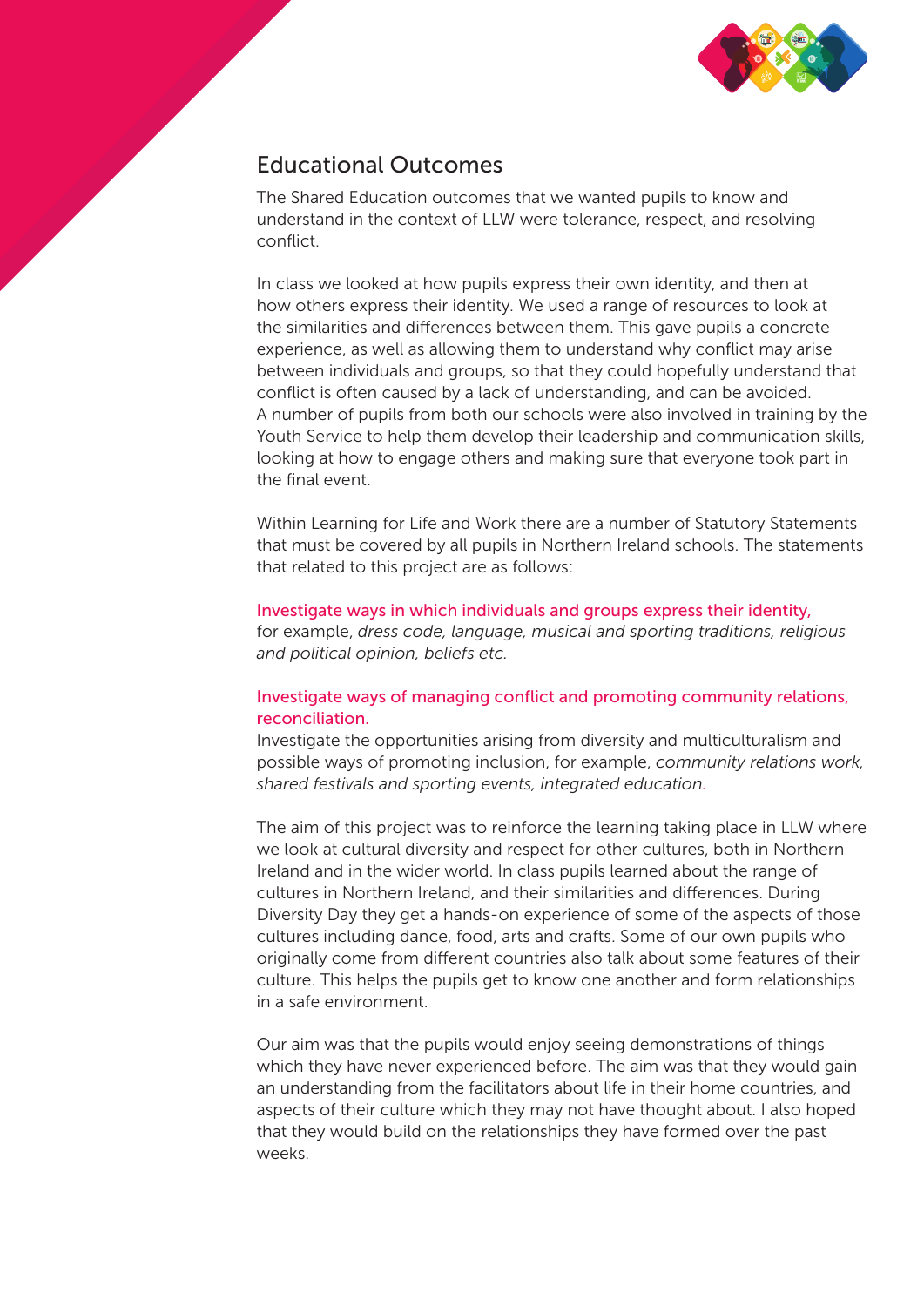

## Educational Outcomes

The Shared Education outcomes that we wanted pupils to know and understand in the context of LLW were tolerance, respect, and resolving conflict.

In class we looked at how pupils express their own identity, and then at how others express their identity. We used a range of resources to look at the similarities and differences between them. This gave pupils a concrete experience, as well as allowing them to understand why conflict may arise between individuals and groups, so that they could hopefully understand that conflict is often caused by a lack of understanding, and can be avoided. A number of pupils from both our schools were also involved in training by the Youth Service to help them develop their leadership and communication skills, looking at how to engage others and making sure that everyone took part in the final event.

Within Learning for Life and Work there are a number of Statutory Statements that must be covered by all pupils in Northern Ireland schools. The statements that related to this project are as follows:

#### Investigate ways in which individuals and groups express their identity, for example, *dress code, language, musical and sporting traditions, religious and political opinion, beliefs etc.*

# Investigate ways of managing conflict and promoting community relations,

reconciliation. Investigate the opportunities arising from diversity and multiculturalism and possible ways of promoting inclusion, for example, *community relations work, shared festivals and sporting events, integrated education.*

The aim of this project was to reinforce the learning taking place in LLW where we look at cultural diversity and respect for other cultures, both in Northern Ireland and in the wider world. In class pupils learned about the range of cultures in Northern Ireland, and their similarities and differences. During Diversity Day they get a hands-on experience of some of the aspects of those cultures including dance, food, arts and crafts. Some of our own pupils who originally come from different countries also talk about some features of their culture. This helps the pupils get to know one another and form relationships in a safe environment.

Our aim was that the pupils would enjoy seeing demonstrations of things which they have never experienced before. The aim was that they would gain an understanding from the facilitators about life in their home countries, and aspects of their culture which they may not have thought about. I also hoped that they would build on the relationships they have formed over the past weeks.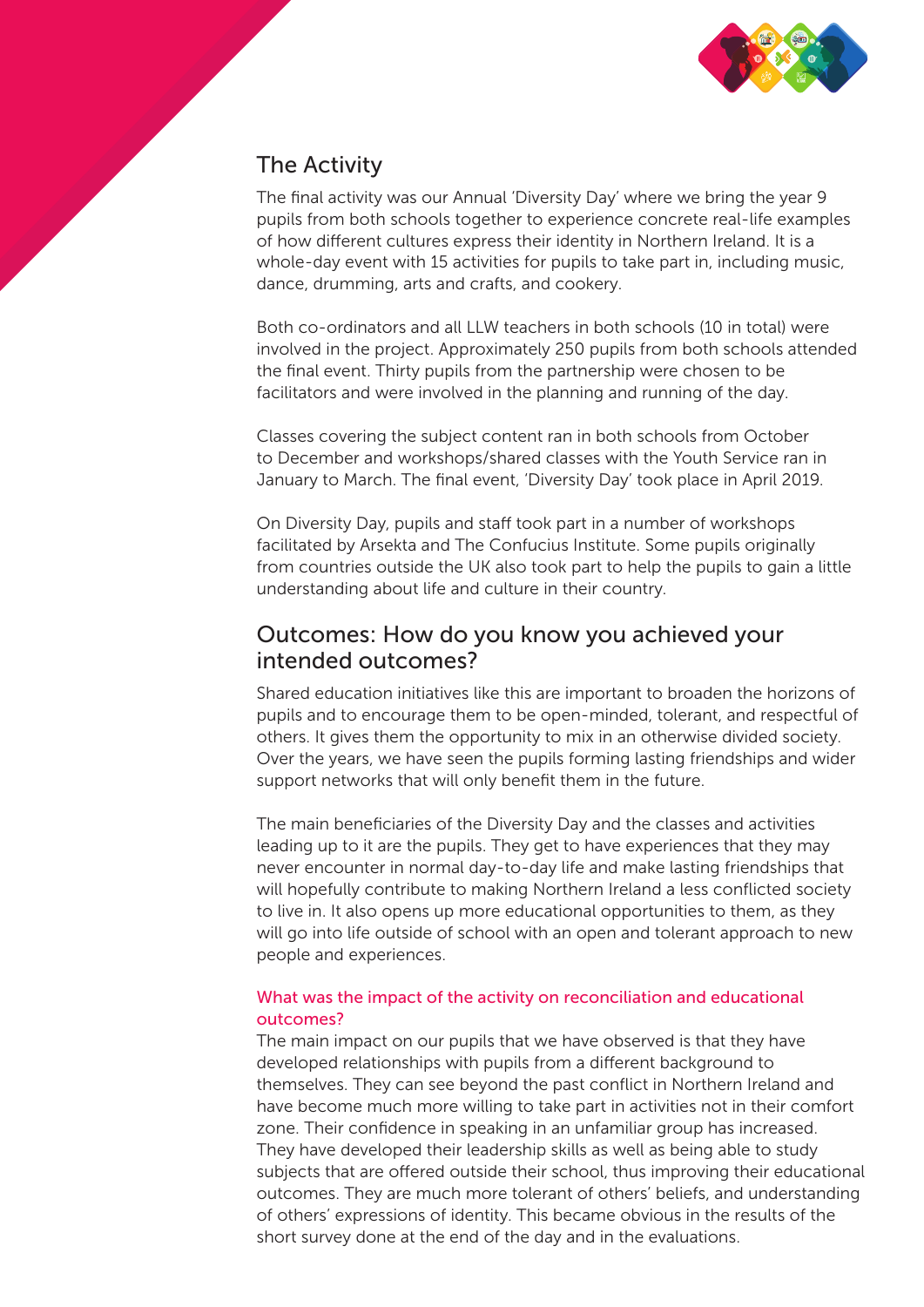

## The Activity

The final activity was our Annual 'Diversity Day' where we bring the year 9 pupils from both schools together to experience concrete real-life examples of how different cultures express their identity in Northern Ireland. It is a whole-day event with 15 activities for pupils to take part in, including music, dance, drumming, arts and crafts, and cookery.

Both co-ordinators and all LLW teachers in both schools (10 in total) were involved in the project. Approximately 250 pupils from both schools attended the final event. Thirty pupils from the partnership were chosen to be facilitators and were involved in the planning and running of the day.

Classes covering the subject content ran in both schools from October to December and workshops/shared classes with the Youth Service ran in January to March. The final event, 'Diversity Day' took place in April 2019.

On Diversity Day, pupils and staff took part in a number of workshops facilitated by Arsekta and The Confucius Institute. Some pupils originally from countries outside the UK also took part to help the pupils to gain a little understanding about life and culture in their country.

### Outcomes: How do you know you achieved your intended outcomes?

Shared education initiatives like this are important to broaden the horizons of pupils and to encourage them to be open-minded, tolerant, and respectful of others. It gives them the opportunity to mix in an otherwise divided society. Over the years, we have seen the pupils forming lasting friendships and wider support networks that will only benefit them in the future.

The main beneficiaries of the Diversity Day and the classes and activities leading up to it are the pupils. They get to have experiences that they may never encounter in normal day-to-day life and make lasting friendships that will hopefully contribute to making Northern Ireland a less conflicted society to live in. It also opens up more educational opportunities to them, as they will go into life outside of school with an open and tolerant approach to new people and experiences.

#### What was the impact of the activity on reconciliation and educational outcomes?

The main impact on our pupils that we have observed is that they have developed relationships with pupils from a different background to themselves. They can see beyond the past conflict in Northern Ireland and have become much more willing to take part in activities not in their comfort zone. Their confidence in speaking in an unfamiliar group has increased. They have developed their leadership skills as well as being able to study subjects that are offered outside their school, thus improving their educational outcomes. They are much more tolerant of others' beliefs, and understanding of others' expressions of identity. This became obvious in the results of the short survey done at the end of the day and in the evaluations.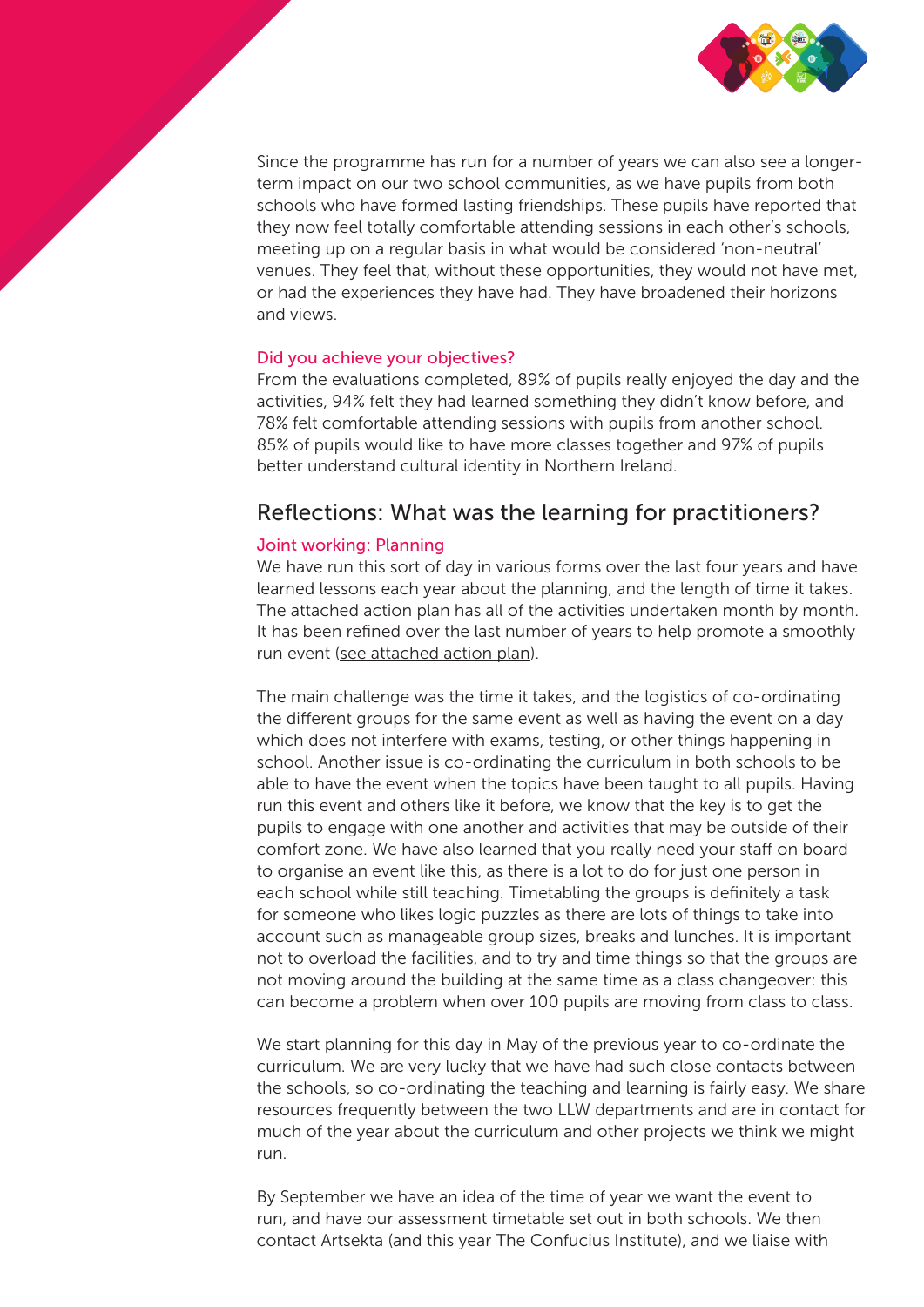

Since the programme has run for a number of years we can also see a longerterm impact on our two school communities, as we have pupils from both schools who have formed lasting friendships. These pupils have reported that they now feel totally comfortable attending sessions in each other's schools, meeting up on a regular basis in what would be considered 'non-neutral' venues. They feel that, without these opportunities, they would not have met, or had the experiences they have had. They have broadened their horizons and views.

#### Did you achieve your objectives?

From the evaluations completed, 89% of pupils really enjoyed the day and the activities, 94% felt they had learned something they didn't know before, and 78% felt comfortable attending sessions with pupils from another school. 85% of pupils would like to have more classes together and 97% of pupils better understand cultural identity in Northern Ireland.

### Reflections: What was the learning for practitioners?

#### Joint working: Planning

We have run this sort of day in various forms over the last four years and have learned lessons each year about the planning, and the length of time it takes. The attached action plan has all of the activities undertaken month by month. It has been refined over the last number of years to help promote a smoothly run event [\(see attached action plan\)](#page-5-0).

The main challenge was the time it takes, and the logistics of co-ordinating the different groups for the same event as well as having the event on a day which does not interfere with exams, testing, or other things happening in school. Another issue is co-ordinating the curriculum in both schools to be able to have the event when the topics have been taught to all pupils. Having run this event and others like it before, we know that the key is to get the pupils to engage with one another and activities that may be outside of their comfort zone. We have also learned that you really need your staff on board to organise an event like this, as there is a lot to do for just one person in each school while still teaching. Timetabling the groups is definitely a task for someone who likes logic puzzles as there are lots of things to take into account such as manageable group sizes, breaks and lunches. It is important not to overload the facilities, and to try and time things so that the groups are not moving around the building at the same time as a class changeover: this can become a problem when over 100 pupils are moving from class to class.

We start planning for this day in May of the previous year to co-ordinate the curriculum. We are very lucky that we have had such close contacts between the schools, so co-ordinating the teaching and learning is fairly easy. We share resources frequently between the two LLW departments and are in contact for much of the year about the curriculum and other projects we think we might run.

By September we have an idea of the time of year we want the event to run, and have our assessment timetable set out in both schools. We then contact Artsekta (and this year The Confucius Institute), and we liaise with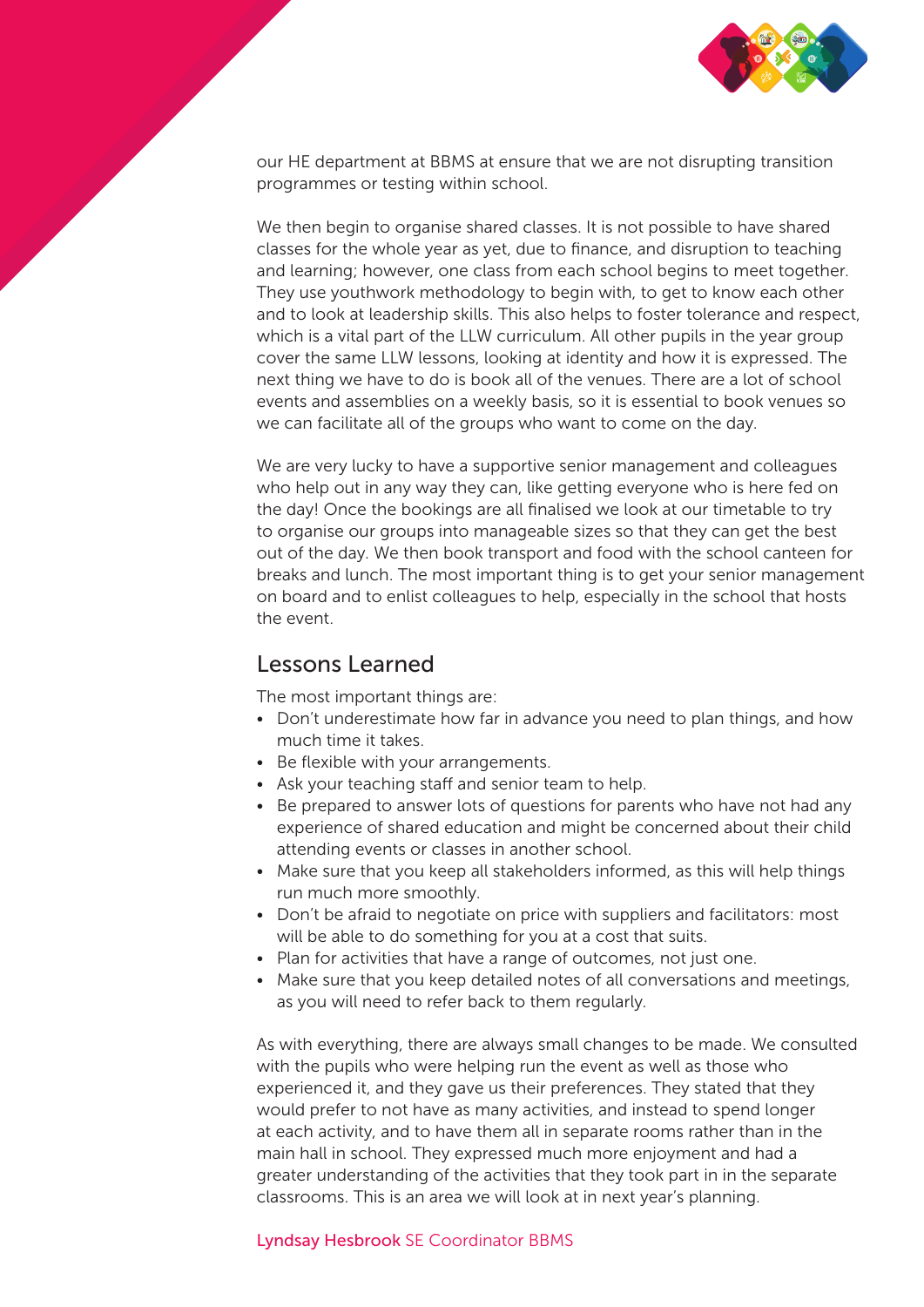

our HE department at BBMS at ensure that we are not disrupting transition programmes or testing within school.

We then begin to organise shared classes. It is not possible to have shared classes for the whole year as yet, due to finance, and disruption to teaching and learning; however, one class from each school begins to meet together. They use youthwork methodology to begin with, to get to know each other and to look at leadership skills. This also helps to foster tolerance and respect, which is a vital part of the LLW curriculum. All other pupils in the year group cover the same LLW lessons, looking at identity and how it is expressed. The next thing we have to do is book all of the venues. There are a lot of school events and assemblies on a weekly basis, so it is essential to book venues so we can facilitate all of the groups who want to come on the day.

We are very lucky to have a supportive senior management and colleagues who help out in any way they can, like getting everyone who is here fed on the day! Once the bookings are all finalised we look at our timetable to try to organise our groups into manageable sizes so that they can get the best out of the day. We then book transport and food with the school canteen for breaks and lunch. The most important thing is to get your senior management on board and to enlist colleagues to help, especially in the school that hosts the event.

#### Lessons Learned

The most important things are:

- Don't underestimate how far in advance you need to plan things, and how much time it takes.
- Be flexible with your arrangements.
- Ask your teaching staff and senior team to help.
- Be prepared to answer lots of questions for parents who have not had any experience of shared education and might be concerned about their child attending events or classes in another school.
- Make sure that you keep all stakeholders informed, as this will help things run much more smoothly.
- Don't be afraid to negotiate on price with suppliers and facilitators: most will be able to do something for you at a cost that suits.
- Plan for activities that have a range of outcomes, not just one.
- Make sure that you keep detailed notes of all conversations and meetings, as you will need to refer back to them regularly.

As with everything, there are always small changes to be made. We consulted with the pupils who were helping run the event as well as those who experienced it, and they gave us their preferences. They stated that they would prefer to not have as many activities, and instead to spend longer at each activity, and to have them all in separate rooms rather than in the main hall in school. They expressed much more enjoyment and had a greater understanding of the activities that they took part in in the separate classrooms. This is an area we will look at in next year's planning.

#### Lyndsay Hesbrook SE Coordinator BBMS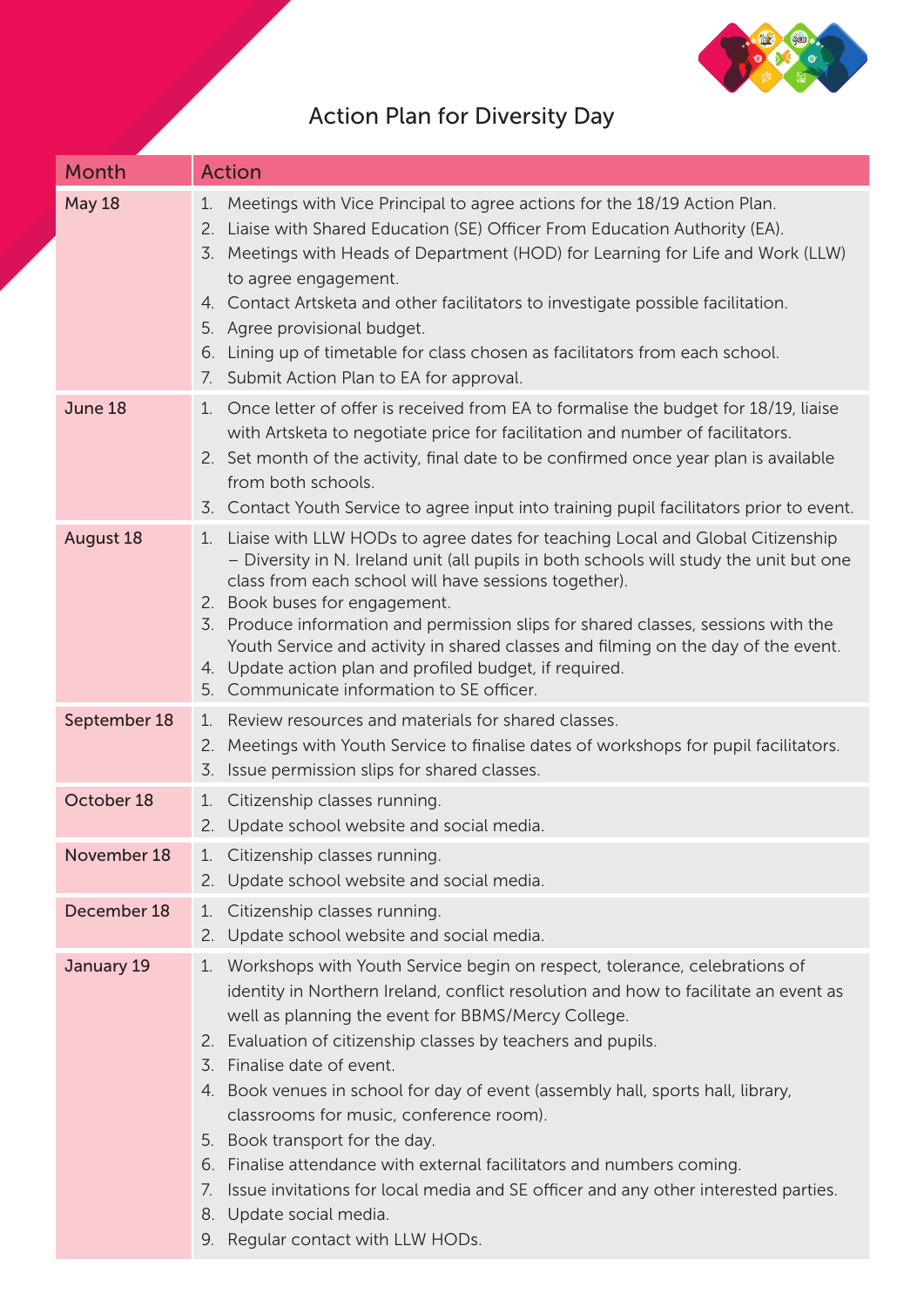

<span id="page-5-0"></span>

| <b>Month</b>     | <b>Action</b>                                                                                                                                                                                                                                                                                                                                                                                                                                                                                                                                                                                                                                                                                                                      |
|------------------|------------------------------------------------------------------------------------------------------------------------------------------------------------------------------------------------------------------------------------------------------------------------------------------------------------------------------------------------------------------------------------------------------------------------------------------------------------------------------------------------------------------------------------------------------------------------------------------------------------------------------------------------------------------------------------------------------------------------------------|
| <b>May 18</b>    | Meetings with Vice Principal to agree actions for the 18/19 Action Plan.<br>1.<br>Liaise with Shared Education (SE) Officer From Education Authority (EA).<br>2.<br>Meetings with Heads of Department (HOD) for Learning for Life and Work (LLW)<br>3.<br>to agree engagement.<br>4. Contact Artsketa and other facilitators to investigate possible facilitation.<br>5. Agree provisional budget.<br>Lining up of timetable for class chosen as facilitators from each school.<br>6.<br>7. Submit Action Plan to EA for approval.                                                                                                                                                                                                 |
| June 18          | Once letter of offer is received from EA to formalise the budget for 18/19, liaise<br>$1_{\cdot}$<br>with Artsketa to negotiate price for facilitation and number of facilitators.<br>2. Set month of the activity, final date to be confirmed once year plan is available<br>from both schools.<br>3. Contact Youth Service to agree input into training pupil facilitators prior to event.                                                                                                                                                                                                                                                                                                                                       |
| <b>August 18</b> | Liaise with LLW HODs to agree dates for teaching Local and Global Citizenship<br>1.<br>- Diversity in N. Ireland unit (all pupils in both schools will study the unit but one<br>class from each school will have sessions together).<br>2. Book buses for engagement.<br>3. Produce information and permission slips for shared classes, sessions with the<br>Youth Service and activity in shared classes and filming on the day of the event.<br>4. Update action plan and profiled budget, if required.<br>5. Communicate information to SE officer.                                                                                                                                                                           |
| September 18     | Review resources and materials for shared classes.<br>1.<br>2. Meetings with Youth Service to finalise dates of workshops for pupil facilitators.<br>3. Issue permission slips for shared classes.                                                                                                                                                                                                                                                                                                                                                                                                                                                                                                                                 |
| October 18       | 1. Citizenship classes running.<br>2. Update school website and social media.                                                                                                                                                                                                                                                                                                                                                                                                                                                                                                                                                                                                                                                      |
| November 18      | 1. Citizenship classes running.<br>2. Update school website and social media.                                                                                                                                                                                                                                                                                                                                                                                                                                                                                                                                                                                                                                                      |
| December 18      | Citizenship classes running.<br>1.<br>2. Update school website and social media.                                                                                                                                                                                                                                                                                                                                                                                                                                                                                                                                                                                                                                                   |
| January 19       | 1. Workshops with Youth Service begin on respect, tolerance, celebrations of<br>identity in Northern Ireland, conflict resolution and how to facilitate an event as<br>well as planning the event for BBMS/Mercy College.<br>Evaluation of citizenship classes by teachers and pupils.<br>2.<br>Finalise date of event.<br>3.<br>4. Book venues in school for day of event (assembly hall, sports hall, library,<br>classrooms for music, conference room).<br>5. Book transport for the day.<br>6. Finalise attendance with external facilitators and numbers coming.<br>Issue invitations for local media and SE officer and any other interested parties.<br>7.<br>8. Update social media.<br>9. Regular contact with LLW HODs. |

## Action Plan for Diversity Day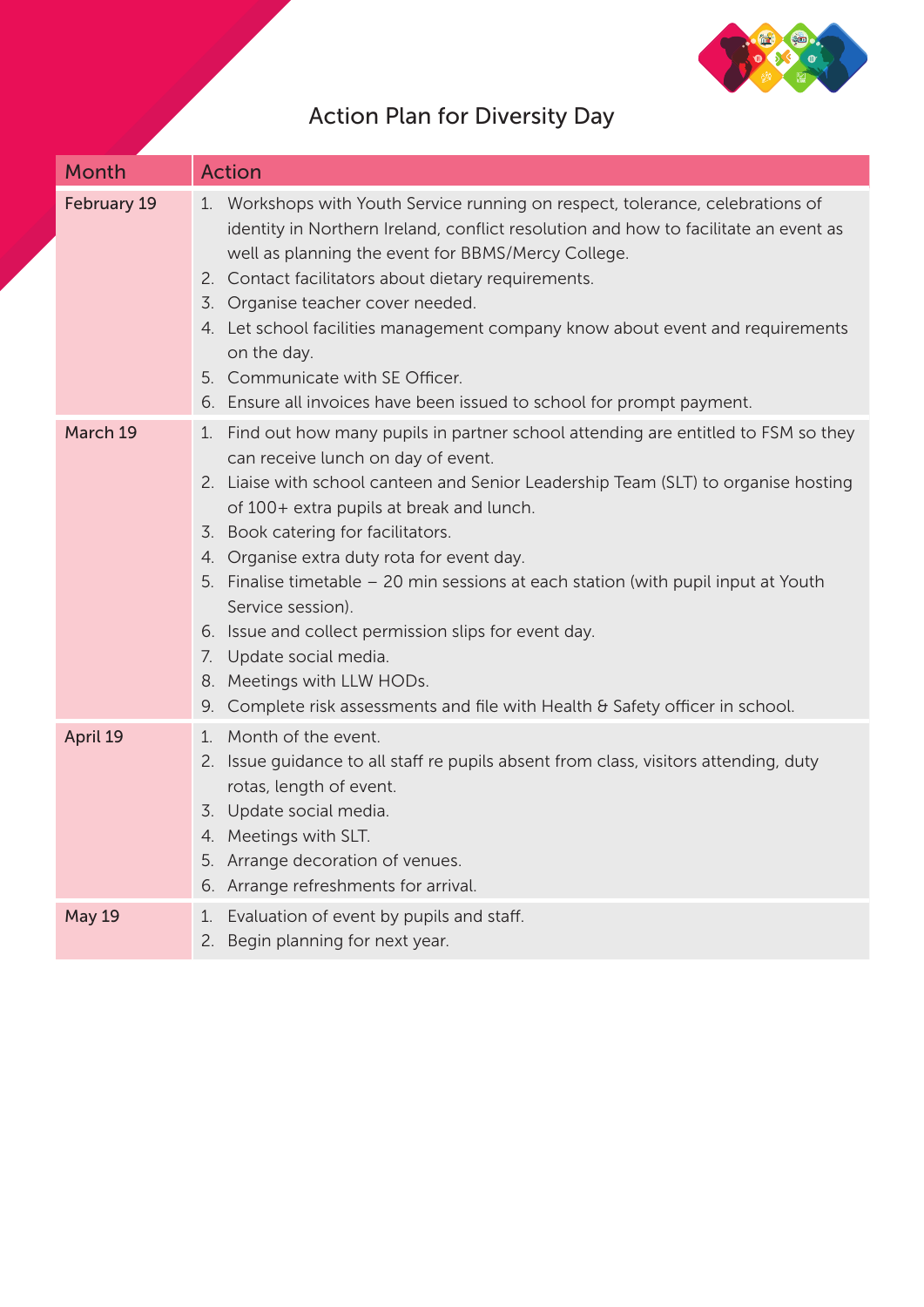

| <b>Month</b>  | <b>Action</b>                                                                                                                                                                                                                                                                                                                                                                                                                                                                                                                                                                                                                                                            |
|---------------|--------------------------------------------------------------------------------------------------------------------------------------------------------------------------------------------------------------------------------------------------------------------------------------------------------------------------------------------------------------------------------------------------------------------------------------------------------------------------------------------------------------------------------------------------------------------------------------------------------------------------------------------------------------------------|
| February 19   | 1. Workshops with Youth Service running on respect, tolerance, celebrations of<br>identity in Northern Ireland, conflict resolution and how to facilitate an event as<br>well as planning the event for BBMS/Mercy College.<br>2. Contact facilitators about dietary requirements.<br>Organise teacher cover needed.<br>3.<br>4. Let school facilities management company know about event and requirements<br>on the day.<br>5. Communicate with SE Officer.<br>6. Ensure all invoices have been issued to school for prompt payment.                                                                                                                                   |
| March 19      | Find out how many pupils in partner school attending are entitled to FSM so they<br>1.<br>can receive lunch on day of event.<br>2. Liaise with school canteen and Senior Leadership Team (SLT) to organise hosting<br>of 100+ extra pupils at break and lunch.<br>3. Book catering for facilitators.<br>Organise extra duty rota for event day.<br>4.<br>5. Finalise timetable - 20 min sessions at each station (with pupil input at Youth<br>Service session).<br>6. Issue and collect permission slips for event day.<br>Update social media.<br>7.<br>8. Meetings with LLW HODs.<br>Complete risk assessments and file with Health & Safety officer in school.<br>9. |
| April 19      | Month of the event.<br>$1_{\cdot}$<br>2. Issue guidance to all staff re pupils absent from class, visitors attending, duty<br>rotas, length of event.<br>Update social media.<br>3.<br>4. Meetings with SLT.<br>5. Arrange decoration of venues.<br>6. Arrange refreshments for arrival.                                                                                                                                                                                                                                                                                                                                                                                 |
| <b>May 19</b> | Evaluation of event by pupils and staff.<br>1.<br>2. Begin planning for next year.                                                                                                                                                                                                                                                                                                                                                                                                                                                                                                                                                                                       |

## Action Plan for Diversity Day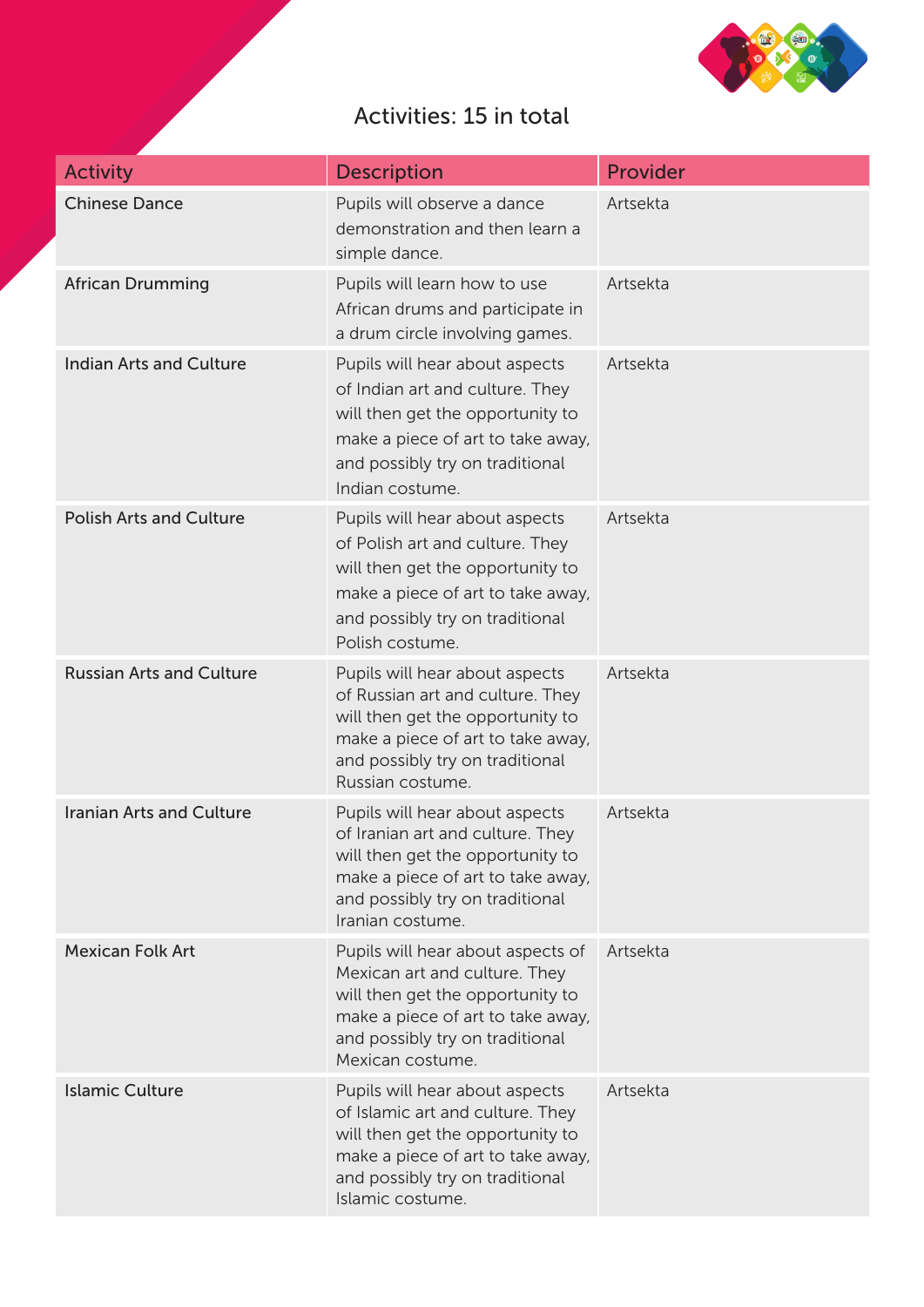

## Activities: 15 in total

| <b>Activity</b>                 | <b>Description</b>                                                                                                                                                                                 | Provider |
|---------------------------------|----------------------------------------------------------------------------------------------------------------------------------------------------------------------------------------------------|----------|
| <b>Chinese Dance</b>            | Pupils will observe a dance<br>demonstration and then learn a<br>simple dance.                                                                                                                     | Artsekta |
| <b>African Drumming</b>         | Pupils will learn how to use<br>African drums and participate in<br>a drum circle involving games.                                                                                                 | Artsekta |
| <b>Indian Arts and Culture</b>  | Pupils will hear about aspects<br>of Indian art and culture. They<br>will then get the opportunity to<br>make a piece of art to take away,<br>and possibly try on traditional<br>Indian costume.   | Artsekta |
| <b>Polish Arts and Culture</b>  | Pupils will hear about aspects<br>of Polish art and culture. They<br>will then get the opportunity to<br>make a piece of art to take away,<br>and possibly try on traditional<br>Polish costume.   | Artsekta |
| <b>Russian Arts and Culture</b> | Pupils will hear about aspects<br>of Russian art and culture. They<br>will then get the opportunity to<br>make a piece of art to take away,<br>and possibly try on traditional<br>Russian costume. | Artsekta |
| <b>Iranian Arts and Culture</b> | Pupils will hear about aspects<br>of Iranian art and culture. They<br>will then get the opportunity to<br>make a piece of art to take away,<br>and possibly try on traditional<br>Iranian costume. | Artsekta |
| <b>Mexican Folk Art</b>         | Pupils will hear about aspects of<br>Mexican art and culture. They<br>will then get the opportunity to<br>make a piece of art to take away,<br>and possibly try on traditional<br>Mexican costume. | Artsekta |
| <b>Islamic Culture</b>          | Pupils will hear about aspects<br>of Islamic art and culture. They<br>will then get the opportunity to<br>make a piece of art to take away,<br>and possibly try on traditional<br>Islamic costume. | Artsekta |